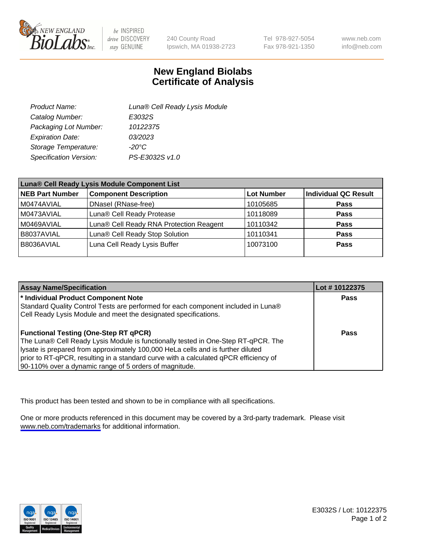

be INSPIRED drive DISCOVERY stay GENUINE

240 County Road Ipswich, MA 01938-2723 Tel 978-927-5054 Fax 978-921-1350

www.neb.com info@neb.com

## **New England Biolabs Certificate of Analysis**

| Product Name:           | Luna® Cell Ready Lysis Module |
|-------------------------|-------------------------------|
| Catalog Number:         | E3032S                        |
| Packaging Lot Number:   | 10122375                      |
| <b>Expiration Date:</b> | 03/2023                       |
| Storage Temperature:    | -20°C                         |
| Specification Version:  | PS-E3032S v1.0                |

| Luna® Cell Ready Lysis Module Component List |                                         |                   |                             |  |
|----------------------------------------------|-----------------------------------------|-------------------|-----------------------------|--|
| NEB Part Number                              | <b>Component Description</b>            | <b>Lot Number</b> | <b>Individual QC Result</b> |  |
| M0474AVIAL                                   | DNasel (RNase-free)                     | 10105685          | <b>Pass</b>                 |  |
| M0473AVIAL                                   | Luna® Cell Ready Protease               | 10118089          | <b>Pass</b>                 |  |
| M0469AVIAL                                   | Luna® Cell Ready RNA Protection Reagent | 10110342          | <b>Pass</b>                 |  |
| B8037AVIAL                                   | Luna® Cell Ready Stop Solution          | 10110341          | <b>Pass</b>                 |  |
| B8036AVIAL                                   | Luna Cell Ready Lysis Buffer            | 10073100          | Pass                        |  |
|                                              |                                         |                   |                             |  |

| <b>Assay Name/Specification</b>                                                      | Lot #10122375 |
|--------------------------------------------------------------------------------------|---------------|
| <sup>*</sup> Individual Product Component Note                                       | Pass          |
| Standard Quality Control Tests are performed for each component included in Luna®    |               |
| Cell Ready Lysis Module and meet the designated specifications.                      |               |
|                                                                                      |               |
| <b>Functional Testing (One-Step RT qPCR)</b>                                         | Pass          |
| The Luna® Cell Ready Lysis Module is functionally tested in One-Step RT-qPCR. The    |               |
| lysate is prepared from approximately 100,000 HeLa cells and is further diluted      |               |
| prior to RT-qPCR, resulting in a standard curve with a calculated qPCR efficiency of |               |
| 90-110% over a dynamic range of 5 orders of magnitude.                               |               |

This product has been tested and shown to be in compliance with all specifications.

One or more products referenced in this document may be covered by a 3rd-party trademark. Please visit <www.neb.com/trademarks>for additional information.